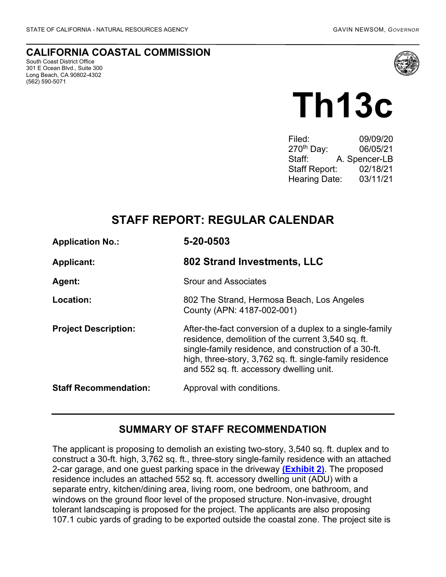#### **CALIFORNIA COASTAL COMMISSION**

South Coast District Office 301 E Ocean Blvd., Suite 300 Long Beach, CA 90802-4302 (562) 590-5071



# **Th13c**

| Filed:                 | 09/09/20      |
|------------------------|---------------|
| 270 <sup>th</sup> Day: | 06/05/21      |
| Staff:                 | A. Spencer-LB |
| <b>Staff Report:</b>   | 02/18/21      |
| <b>Hearing Date:</b>   | 03/11/21      |
|                        |               |

# **STAFF REPORT: REGULAR CALENDAR**

| <b>Application No.:</b>      | 5-20-0503                                                                                                                                                                                                                                                                       |  |
|------------------------------|---------------------------------------------------------------------------------------------------------------------------------------------------------------------------------------------------------------------------------------------------------------------------------|--|
| <b>Applicant:</b>            | 802 Strand Investments, LLC                                                                                                                                                                                                                                                     |  |
| <b>Agent:</b>                | <b>Srour and Associates</b>                                                                                                                                                                                                                                                     |  |
| Location:                    | 802 The Strand, Hermosa Beach, Los Angeles<br>County (APN: 4187-002-001)                                                                                                                                                                                                        |  |
| <b>Project Description:</b>  | After-the-fact conversion of a duplex to a single-family<br>residence, demolition of the current 3,540 sq. ft.<br>single-family residence, and construction of a 30-ft.<br>high, three-story, 3,762 sq. ft. single-family residence<br>and 552 sq. ft. accessory dwelling unit. |  |
| <b>Staff Recommendation:</b> | Approval with conditions.                                                                                                                                                                                                                                                       |  |

#### **SUMMARY OF STAFF RECOMMENDATION**

The applicant is proposing to demolish an existing two-story, 3,540 sq. ft. duplex and to construct a 30-ft. high, 3,762 sq. ft., three-story single-family residence with an attached 2-car garage, and one guest parking space in the driveway **[\(Exhibit 2\)](https://documents.coastal.ca.gov/reports/2021/3/Th13c/Th13c-3-2021-exhibits.pdf)**. The proposed residence includes an attached 552 sq. ft. accessory dwelling unit (ADU) with a separate entry, kitchen/dining area, living room, one bedroom, one bathroom, and windows on the ground floor level of the proposed structure. Non-invasive, drought tolerant landscaping is proposed for the project. The applicants are also proposing 107.1 cubic yards of grading to be exported outside the coastal zone. The project site is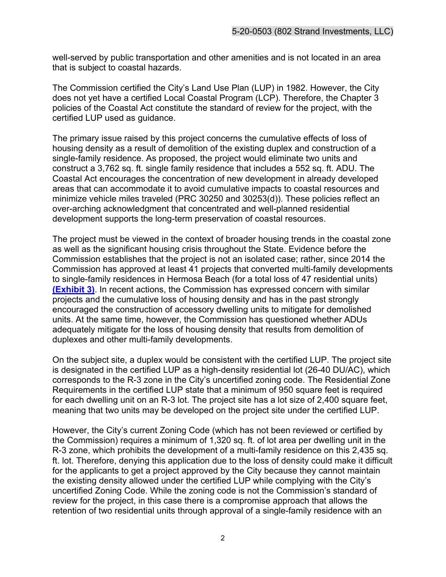well-served by public transportation and other amenities and is not located in an area that is subject to coastal hazards.

The Commission certified the City's Land Use Plan (LUP) in 1982. However, the City does not yet have a certified Local Coastal Program (LCP). Therefore, the Chapter 3 policies of the Coastal Act constitute the standard of review for the project, with the certified LUP used as guidance.

The primary issue raised by this project concerns the cumulative effects of loss of housing density as a result of demolition of the existing duplex and construction of a single-family residence. As proposed, the project would eliminate two units and construct a 3,762 sq. ft. single family residence that includes a 552 sq. ft. ADU. The Coastal Act encourages the concentration of new development in already developed areas that can accommodate it to avoid cumulative impacts to coastal resources and minimize vehicle miles traveled (PRC 30250 and 30253(d)). These policies reflect an over-arching acknowledgment that concentrated and well-planned residential development supports the long-term preservation of coastal resources.

The project must be viewed in the context of broader housing trends in the coastal zone as well as the significant housing crisis throughout the State. Evidence before the Commission establishes that the project is not an isolated case; rather, since 2014 the Commission has approved at least 41 projects that converted multi-family developments to single-family residences in Hermosa Beach (for a total loss of 47 residential units) **[\(Exhibit 3\)](https://documents.coastal.ca.gov/reports/2021/3/Th13c/Th13c-3-2021-exhibits.pdf)**. In recent actions, the Commission has expressed concern with similar projects and the cumulative loss of housing density and has in the past strongly encouraged the construction of accessory dwelling units to mitigate for demolished units. At the same time, however, the Commission has questioned whether ADUs adequately mitigate for the loss of housing density that results from demolition of duplexes and other multi-family developments.

On the subject site, a duplex would be consistent with the certified LUP. The project site is designated in the certified LUP as a high-density residential lot (26-40 DU/AC), which corresponds to the R-3 zone in the City's uncertified zoning code. The Residential Zone Requirements in the certified LUP state that a minimum of 950 square feet is required for each dwelling unit on an R-3 lot. The project site has a lot size of 2,400 square feet, meaning that two units may be developed on the project site under the certified LUP.

However, the City's current Zoning Code (which has not been reviewed or certified by the Commission) requires a minimum of 1,320 sq. ft. of lot area per dwelling unit in the R-3 zone, which prohibits the development of a multi-family residence on this 2,435 sq. ft. lot. Therefore, denying this application due to the loss of density could make it difficult for the applicants to get a project approved by the City because they cannot maintain the existing density allowed under the certified LUP while complying with the City's uncertified Zoning Code. While the zoning code is not the Commission's standard of review for the project, in this case there is a compromise approach that allows the retention of two residential units through approval of a single-family residence with an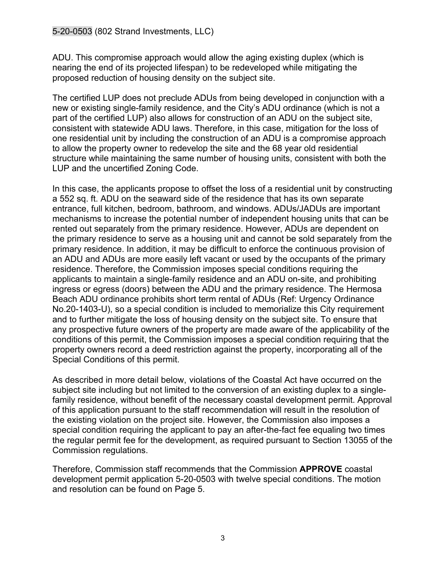ADU. This compromise approach would allow the aging existing duplex (which is nearing the end of its projected lifespan) to be redeveloped while mitigating the proposed reduction of housing density on the subject site.

The certified LUP does not preclude ADUs from being developed in conjunction with a new or existing single-family residence, and the City's ADU ordinance (which is not a part of the certified LUP) also allows for construction of an ADU on the subject site, consistent with statewide ADU laws. Therefore, in this case, mitigation for the loss of one residential unit by including the construction of an ADU is a compromise approach to allow the property owner to redevelop the site and the 68 year old residential structure while maintaining the same number of housing units, consistent with both the LUP and the uncertified Zoning Code.

In this case, the applicants propose to offset the loss of a residential unit by constructing a 552 sq. ft. ADU on the seaward side of the residence that has its own separate entrance, full kitchen, bedroom, bathroom, and windows. ADUs/JADUs are important mechanisms to increase the potential number of independent housing units that can be rented out separately from the primary residence. However, ADUs are dependent on the primary residence to serve as a housing unit and cannot be sold separately from the primary residence. In addition, it may be difficult to enforce the continuous provision of an ADU and ADUs are more easily left vacant or used by the occupants of the primary residence. Therefore, the Commission imposes special conditions requiring the applicants to maintain a single-family residence and an ADU on-site, and prohibiting ingress or egress (doors) between the ADU and the primary residence. The Hermosa Beach ADU ordinance prohibits short term rental of ADUs (Ref: Urgency Ordinance No.20-1403-U), so a special condition is included to memorialize this City requirement and to further mitigate the loss of housing density on the subject site. To ensure that any prospective future owners of the property are made aware of the applicability of the conditions of this permit, the Commission imposes a special condition requiring that the property owners record a deed restriction against the property, incorporating all of the Special Conditions of this permit.

As described in more detail below, violations of the Coastal Act have occurred on the subject site including but not limited to the conversion of an existing duplex to a singlefamily residence, without benefit of the necessary coastal development permit. Approval of this application pursuant to the staff recommendation will result in the resolution of the existing violation on the project site. However, the Commission also imposes a special condition requiring the applicant to pay an after-the-fact fee equaling two times the regular permit fee for the development, as required pursuant to Section 13055 of the Commission regulations.

Therefore, Commission staff recommends that the Commission **APPROVE** coastal development permit application 5-20-0503 with twelve special conditions. The motion and resolution can be found on Page 5.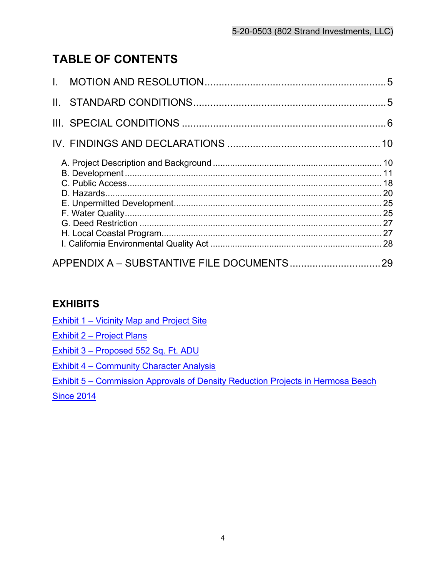# **TABLE OF CONTENTS**

# **EXHIBITS**

Exhibit 1 – [Vicinity Map and Project Site](https://documents.coastal.ca.gov/reports/2021/3/Th13c/Th13c-3-2021-exhibits.pdf) 

Exhibit 2 – [Project Plans](https://documents.coastal.ca.gov/reports/2021/3/Th13c/Th13c-3-2021-exhibits.pdf)

Exhibit 3 – [Proposed 552 Sq. Ft. ADU](https://documents.coastal.ca.gov/reports/2021/3/Th13c/Th13c-3-2021-exhibits.pdf)

Exhibit 4 – [Community Character Analysis](https://documents.coastal.ca.gov/reports/2021/3/Th13c/Th13c-3-2021-exhibits.pdf)

Exhibit 5 – [Commission Approvals of Density Reduction Projects in Hermosa Beach](https://documents.coastal.ca.gov/reports/2021/3/Th13c/Th13c-3-2021-exhibits.pdf) 

**[Since 2014](https://documents.coastal.ca.gov/reports/2021/3/Th13c/Th13c-3-2021-exhibits.pdf)**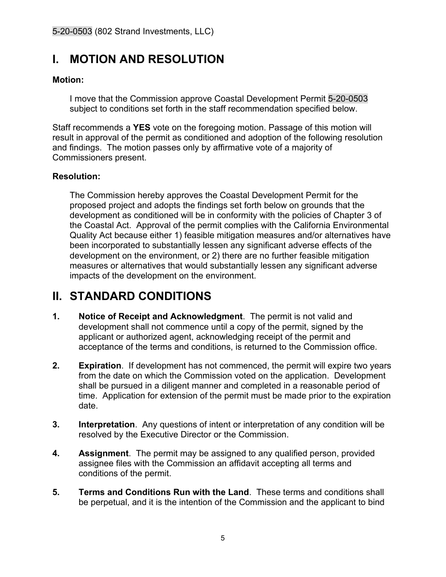# <span id="page-4-0"></span>**I. MOTION AND RESOLUTION**

#### **Motion:**

I move that the Commission approve Coastal Development Permit 5-20-0503 subject to conditions set forth in the staff recommendation specified below.

Staff recommends a **YES** vote on the foregoing motion. Passage of this motion will result in approval of the permit as conditioned and adoption of the following resolution and findings. The motion passes only by affirmative vote of a majority of Commissioners present.

#### **Resolution:**

The Commission hereby approves the Coastal Development Permit for the proposed project and adopts the findings set forth below on grounds that the development as conditioned will be in conformity with the policies of Chapter 3 of the Coastal Act. Approval of the permit complies with the California Environmental Quality Act because either 1) feasible mitigation measures and/or alternatives have been incorporated to substantially lessen any significant adverse effects of the development on the environment, or 2) there are no further feasible mitigation measures or alternatives that would substantially lessen any significant adverse impacts of the development on the environment.

# <span id="page-4-1"></span>**II. STANDARD CONDITIONS**

- **1. Notice of Receipt and Acknowledgment**. The permit is not valid and development shall not commence until a copy of the permit, signed by the applicant or authorized agent, acknowledging receipt of the permit and acceptance of the terms and conditions, is returned to the Commission office.
- **2. Expiration**. If development has not commenced, the permit will expire two years from the date on which the Commission voted on the application. Development shall be pursued in a diligent manner and completed in a reasonable period of time. Application for extension of the permit must be made prior to the expiration date.
- **3. Interpretation**. Any questions of intent or interpretation of any condition will be resolved by the Executive Director or the Commission.
- **4. Assignment**. The permit may be assigned to any qualified person, provided assignee files with the Commission an affidavit accepting all terms and conditions of the permit.
- **5. Terms and Conditions Run with the Land**. These terms and conditions shall be perpetual, and it is the intention of the Commission and the applicant to bind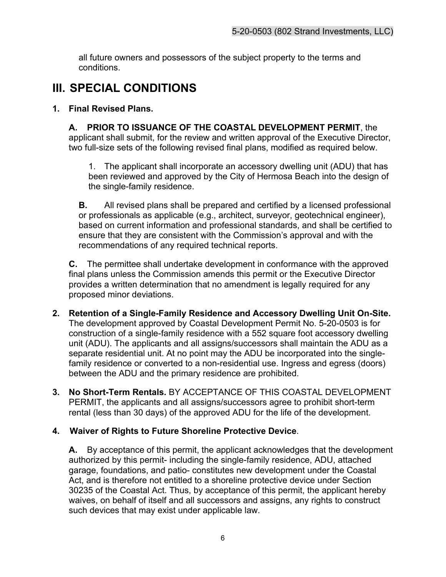all future owners and possessors of the subject property to the terms and conditions.

# <span id="page-5-0"></span>**III. SPECIAL CONDITIONS**

#### **1. Final Revised Plans.**

**A. PRIOR TO ISSUANCE OF THE COASTAL DEVELOPMENT PERMIT**, the applicant shall submit, for the review and written approval of the Executive Director, two full-size sets of the following revised final plans, modified as required below.

1. The applicant shall incorporate an accessory dwelling unit (ADU) that has been reviewed and approved by the City of Hermosa Beach into the design of the single-family residence.

**B.** All revised plans shall be prepared and certified by a licensed professional or professionals as applicable (e.g., architect, surveyor, geotechnical engineer), based on current information and professional standards, and shall be certified to ensure that they are consistent with the Commission's approval and with the recommendations of any required technical reports.

**C.** The permittee shall undertake development in conformance with the approved final plans unless the Commission amends this permit or the Executive Director provides a written determination that no amendment is legally required for any proposed minor deviations.

- **2. Retention of a Single-Family Residence and Accessory Dwelling Unit On-Site.**  The development approved by Coastal Development Permit No. 5-20-0503 is for construction of a single-family residence with a 552 square foot accessory dwelling unit (ADU). The applicants and all assigns/successors shall maintain the ADU as a separate residential unit. At no point may the ADU be incorporated into the singlefamily residence or converted to a non-residential use. Ingress and egress (doors) between the ADU and the primary residence are prohibited.
- **3. No Short-Term Rentals.** BY ACCEPTANCE OF THIS COASTAL DEVELOPMENT PERMIT, the applicants and all assigns/successors agree to prohibit short-term rental (less than 30 days) of the approved ADU for the life of the development.

#### **4. Waiver of Rights to Future Shoreline Protective Device**.

**A.** By acceptance of this permit, the applicant acknowledges that the development authorized by this permit- including the single-family residence, ADU, attached garage, foundations, and patio- constitutes new development under the Coastal Act, and is therefore not entitled to a shoreline protective device under Section 30235 of the Coastal Act. Thus, by acceptance of this permit, the applicant hereby waives, on behalf of itself and all successors and assigns, any rights to construct such devices that may exist under applicable law.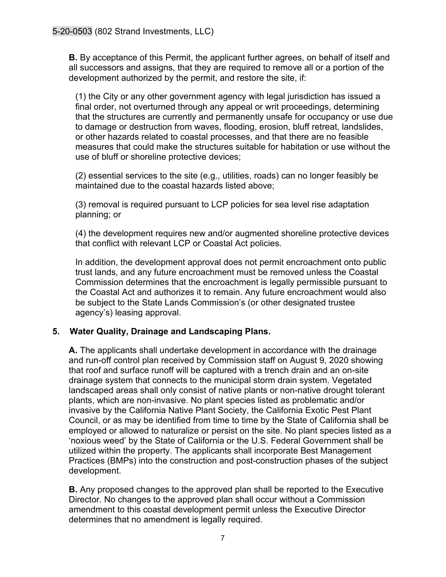**B.** By acceptance of this Permit, the applicant further agrees, on behalf of itself and all successors and assigns, that they are required to remove all or a portion of the development authorized by the permit, and restore the site, if:

(1) the City or any other government agency with legal jurisdiction has issued a final order, not overturned through any appeal or writ proceedings, determining that the structures are currently and permanently unsafe for occupancy or use due to damage or destruction from waves, flooding, erosion, bluff retreat, landslides, or other hazards related to coastal processes, and that there are no feasible measures that could make the structures suitable for habitation or use without the use of bluff or shoreline protective devices;

(2) essential services to the site (e.g., utilities, roads) can no longer feasibly be maintained due to the coastal hazards listed above;

(3) removal is required pursuant to LCP policies for sea level rise adaptation planning; or

(4) the development requires new and/or augmented shoreline protective devices that conflict with relevant LCP or Coastal Act policies.

In addition, the development approval does not permit encroachment onto public trust lands, and any future encroachment must be removed unless the Coastal Commission determines that the encroachment is legally permissible pursuant to the Coastal Act and authorizes it to remain. Any future encroachment would also be subject to the State Lands Commission's (or other designated trustee agency's) leasing approval.

#### **5. Water Quality, Drainage and Landscaping Plans.**

**A.** The applicants shall undertake development in accordance with the drainage and run-off control plan received by Commission staff on August 9, 2020 showing that roof and surface runoff will be captured with a trench drain and an on-site drainage system that connects to the municipal storm drain system. Vegetated landscaped areas shall only consist of native plants or non-native drought tolerant plants, which are non-invasive. No plant species listed as problematic and/or invasive by the California Native Plant Society, the California Exotic Pest Plant Council, or as may be identified from time to time by the State of California shall be employed or allowed to naturalize or persist on the site. No plant species listed as a 'noxious weed' by the State of California or the U.S. Federal Government shall be utilized within the property. The applicants shall incorporate Best Management Practices (BMPs) into the construction and post-construction phases of the subject development.

**B.** Any proposed changes to the approved plan shall be reported to the Executive Director. No changes to the approved plan shall occur without a Commission amendment to this coastal development permit unless the Executive Director determines that no amendment is legally required.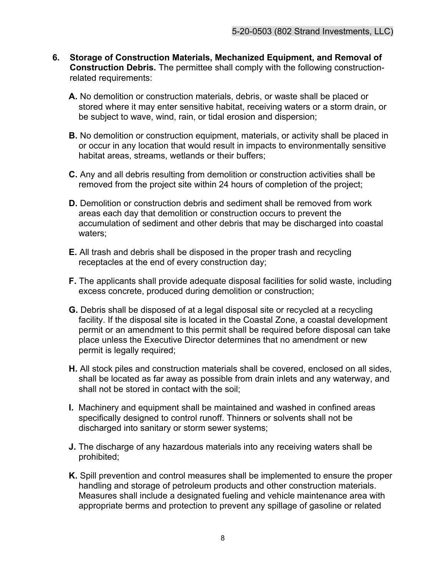- **6. Storage of Construction Materials, Mechanized Equipment, and Removal of Construction Debris.** The permittee shall comply with the following constructionrelated requirements:
	- **A.** No demolition or construction materials, debris, or waste shall be placed or stored where it may enter sensitive habitat, receiving waters or a storm drain, or be subject to wave, wind, rain, or tidal erosion and dispersion;
	- **B.** No demolition or construction equipment, materials, or activity shall be placed in or occur in any location that would result in impacts to environmentally sensitive habitat areas, streams, wetlands or their buffers;
	- **C.** Any and all debris resulting from demolition or construction activities shall be removed from the project site within 24 hours of completion of the project;
	- **D.** Demolition or construction debris and sediment shall be removed from work areas each day that demolition or construction occurs to prevent the accumulation of sediment and other debris that may be discharged into coastal waters;
	- **E.** All trash and debris shall be disposed in the proper trash and recycling receptacles at the end of every construction day;
	- **F.** The applicants shall provide adequate disposal facilities for solid waste, including excess concrete, produced during demolition or construction;
	- **G.** Debris shall be disposed of at a legal disposal site or recycled at a recycling facility. If the disposal site is located in the Coastal Zone, a coastal development permit or an amendment to this permit shall be required before disposal can take place unless the Executive Director determines that no amendment or new permit is legally required;
	- **H.** All stock piles and construction materials shall be covered, enclosed on all sides, shall be located as far away as possible from drain inlets and any waterway, and shall not be stored in contact with the soil;
	- **I.** Machinery and equipment shall be maintained and washed in confined areas specifically designed to control runoff. Thinners or solvents shall not be discharged into sanitary or storm sewer systems;
	- **J.** The discharge of any hazardous materials into any receiving waters shall be prohibited;
	- **K.** Spill prevention and control measures shall be implemented to ensure the proper handling and storage of petroleum products and other construction materials. Measures shall include a designated fueling and vehicle maintenance area with appropriate berms and protection to prevent any spillage of gasoline or related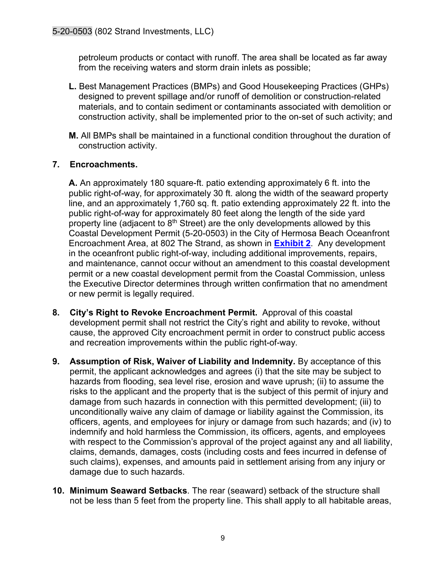petroleum products or contact with runoff. The area shall be located as far away from the receiving waters and storm drain inlets as possible;

- **L.** Best Management Practices (BMPs) and Good Housekeeping Practices (GHPs) designed to prevent spillage and/or runoff of demolition or construction-related materials, and to contain sediment or contaminants associated with demolition or construction activity, shall be implemented prior to the on-set of such activity; and
- **M.** All BMPs shall be maintained in a functional condition throughout the duration of construction activity.

#### **7. Encroachments.**

**A.** An approximately 180 square-ft. patio extending approximately 6 ft. into the public right-of-way, for approximately 30 ft. along the width of the seaward property line, and an approximately 1,760 sq. ft. patio extending approximately 22 ft. into the public right-of-way for approximately 80 feet along the length of the side yard property line (adjacent to  $8<sup>th</sup>$  Street) are the only developments allowed by this Coastal Development Permit (5-20-0503) in the City of Hermosa Beach Oceanfront Encroachment Area, at 802 The Strand, as shown in **[Exhibit](https://documents.coastal.ca.gov/reports/2021/3/Th13c/Th13c-3-2021-exhibits.pdf) 2**. Any development in the oceanfront public right-of-way, including additional improvements, repairs, and maintenance, cannot occur without an amendment to this coastal development permit or a new coastal development permit from the Coastal Commission, unless the Executive Director determines through written confirmation that no amendment or new permit is legally required.

- **8. City's Right to Revoke Encroachment Permit.** Approval of this coastal development permit shall not restrict the City's right and ability to revoke, without cause, the approved City encroachment permit in order to construct public access and recreation improvements within the public right-of-way.
- **9. Assumption of Risk, Waiver of Liability and Indemnity.** By acceptance of this permit, the applicant acknowledges and agrees (i) that the site may be subject to hazards from flooding, sea level rise, erosion and wave uprush; (ii) to assume the risks to the applicant and the property that is the subject of this permit of injury and damage from such hazards in connection with this permitted development; (iii) to unconditionally waive any claim of damage or liability against the Commission, its officers, agents, and employees for injury or damage from such hazards; and (iv) to indemnify and hold harmless the Commission, its officers, agents, and employees with respect to the Commission's approval of the project against any and all liability, claims, demands, damages, costs (including costs and fees incurred in defense of such claims), expenses, and amounts paid in settlement arising from any injury or damage due to such hazards.
- **10. Minimum Seaward Setbacks**. The rear (seaward) setback of the structure shall not be less than 5 feet from the property line. This shall apply to all habitable areas,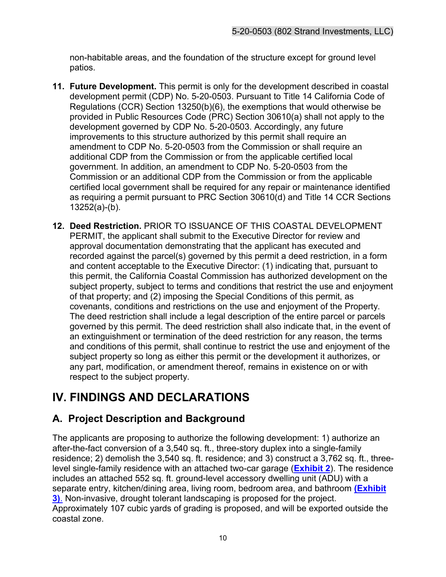non-habitable areas, and the foundation of the structure except for ground level patios.

- **11. Future Development.** This permit is only for the development described in coastal development permit (CDP) No. 5-20-0503. Pursuant to Title 14 California Code of Regulations (CCR) Section 13250(b)(6), the exemptions that would otherwise be provided in Public Resources Code (PRC) Section 30610(a) shall not apply to the development governed by CDP No. 5-20-0503. Accordingly, any future improvements to this structure authorized by this permit shall require an amendment to CDP No. 5-20-0503 from the Commission or shall require an additional CDP from the Commission or from the applicable certified local government. In addition, an amendment to CDP No. 5-20-0503 from the Commission or an additional CDP from the Commission or from the applicable certified local government shall be required for any repair or maintenance identified as requiring a permit pursuant to PRC Section 30610(d) and Title 14 CCR Sections 13252(a)-(b).
- **12. Deed Restriction.** PRIOR TO ISSUANCE OF THIS COASTAL DEVELOPMENT PERMIT, the applicant shall submit to the Executive Director for review and approval documentation demonstrating that the applicant has executed and recorded against the parcel(s) governed by this permit a deed restriction, in a form and content acceptable to the Executive Director: (1) indicating that, pursuant to this permit, the California Coastal Commission has authorized development on the subject property, subject to terms and conditions that restrict the use and enjoyment of that property; and (2) imposing the Special Conditions of this permit, as covenants, conditions and restrictions on the use and enjoyment of the Property. The deed restriction shall include a legal description of the entire parcel or parcels governed by this permit. The deed restriction shall also indicate that, in the event of an extinguishment or termination of the deed restriction for any reason, the terms and conditions of this permit, shall continue to restrict the use and enjoyment of the subject property so long as either this permit or the development it authorizes, or any part, modification, or amendment thereof, remains in existence on or with respect to the subject property.

# <span id="page-9-0"></span>**IV. FINDINGS AND DECLARATIONS**

# <span id="page-9-1"></span>**A. Project Description and Background**

The applicants are proposing to authorize the following development: 1) authorize an after-the-fact conversion of a 3,540 sq. ft., three-story duplex into a single-family residence; 2) demolish the 3,540 sq. ft. residence; and 3) construct a 3,762 sq. ft., threelevel single-family residence with an attached two-car garage (**[Exhibit 2](https://documents.coastal.ca.gov/reports/2021/3/Th13c/Th13c-3-2021-exhibits.pdf)**). The residence includes an attached 552 sq. ft. ground-level accessory dwelling unit (ADU) with a separate entry, kitchen/dining area, living room, bedroom area, and bathroom **[\(Exhibit](https://documents.coastal.ca.gov/reports/2021/3/Th13c/Th13c-3-2021-exhibits.pdf)  [3\)](https://documents.coastal.ca.gov/reports/2021/3/Th13c/Th13c-3-2021-exhibits.pdf)**. Non-invasive, drought tolerant landscaping is proposed for the project. Approximately 107 cubic yards of grading is proposed, and will be exported outside the coastal zone.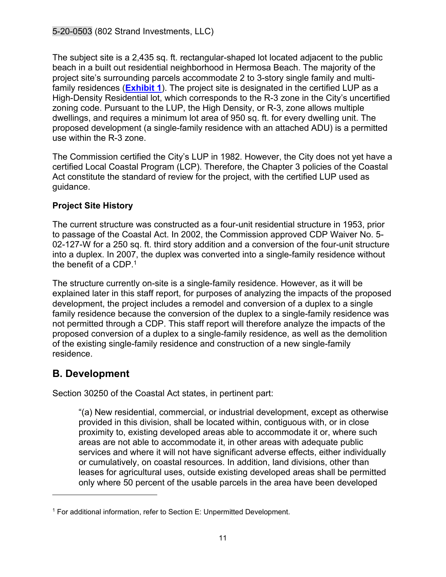The subject site is a 2,435 sq. ft. rectangular-shaped lot located adjacent to the public beach in a built out residential neighborhood in Hermosa Beach. The majority of the project site's surrounding parcels accommodate 2 to 3-story single family and multifamily residences (**[Exhibit 1](https://documents.coastal.ca.gov/reports/2021/3/Th13c/Th13c-3-2021-exhibits.pdf)**). The project site is designated in the certified LUP as a High-Density Residential lot, which corresponds to the R-3 zone in the City's uncertified zoning code. Pursuant to the LUP, the High Density, or R-3, zone allows multiple dwellings, and requires a minimum lot area of 950 sq. ft. for every dwelling unit. The proposed development (a single-family residence with an attached ADU) is a permitted use within the R-3 zone.

The Commission certified the City's LUP in 1982. However, the City does not yet have a certified Local Coastal Program (LCP). Therefore, the Chapter 3 policies of the Coastal Act constitute the standard of review for the project, with the certified LUP used as guidance.

#### **Project Site History**

The current structure was constructed as a four-unit residential structure in 1953, prior to passage of the Coastal Act. In 2002, the Commission approved CDP Waiver No. 5- 02-127-W for a 250 sq. ft. third story addition and a conversion of the four-unit structure into a duplex. In 2007, the duplex was converted into a single-family residence without the benefit of a CDP.<sup>1</sup>

The structure currently on-site is a single-family residence. However, as it will be explained later in this staff report, for purposes of analyzing the impacts of the proposed development, the project includes a remodel and conversion of a duplex to a single family residence because the conversion of the duplex to a single-family residence was not permitted through a CDP. This staff report will therefore analyze the impacts of the proposed conversion of a duplex to a single-family residence, as well as the demolition of the existing single-family residence and construction of a new single-family residence.

### <span id="page-10-0"></span>**B. Development**

Section 30250 of the Coastal Act states, in pertinent part:

"(a) New residential, commercial, or industrial development, except as otherwise provided in this division, shall be located within, contiguous with, or in close proximity to, existing developed areas able to accommodate it or, where such areas are not able to accommodate it, in other areas with adequate public services and where it will not have significant adverse effects, either individually or cumulatively, on coastal resources. In addition, land divisions, other than leases for agricultural uses, outside existing developed areas shall be permitted only where 50 percent of the usable parcels in the area have been developed

<sup>&</sup>lt;sup>1</sup> For additional information, refer to Section E: Unpermitted Development.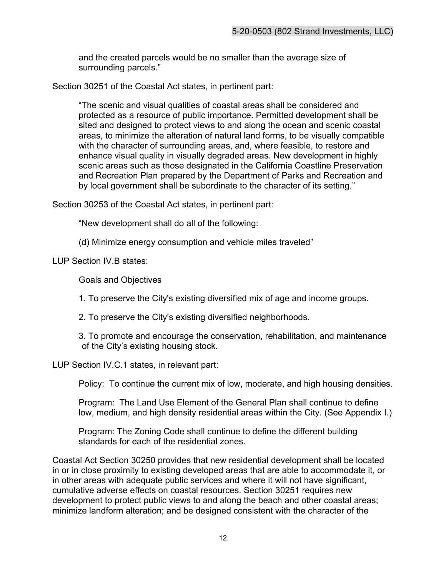and the created parcels would be no smaller than the average size of surrounding parcels."

Section 30251 of the Coastal Act states, in pertinent part:

"The scenic and visual qualities of coastal areas shall be considered and protected as a resource of public importance. Permitted development shall be sited and designed to protect views to and along the ocean and scenic coastal areas, to minimize the alteration of natural land forms, to be visually compatible with the character of surrounding areas, and, where feasible, to restore and enhance visual quality in visually degraded areas. New development in highly scenic areas such as those designated in the California Coastline Preservation and Recreation Plan prepared by the Department of Parks and Recreation and by local government shall be subordinate to the character of its setting."

Section 30253 of the Coastal Act states, in pertinent part:

"New development shall do all of the following:

(d) Minimize energy consumption and vehicle miles traveled"

LUP Section IV.B states:

Goals and Objectives

1. To preserve the City's existing diversified mix of age and income groups.

2. To preserve the City's existing diversified neighborhoods.

3. To promote and encourage the conservation, rehabilitation, and maintenance of the City's existing housing stock.

LUP Section IV.C.1 states, in relevant part:

Policy: To continue the current mix of low, moderate, and high housing densities.

Program: The Land Use Element of the General Plan shall continue to define low, medium, and high density residential areas within the City. (See Appendix I.)

Program: The Zoning Code shall continue to define the different building standards for each of the residential zones.

Coastal Act Section 30250 provides that new residential development shall be located in or in close proximity to existing developed areas that are able to accommodate it, or in other areas with adequate public services and where it will not have significant, cumulative adverse effects on coastal resources. Section 30251 requires new development to protect public views to and along the beach and other coastal areas; minimize landform alteration; and be designed consistent with the character of the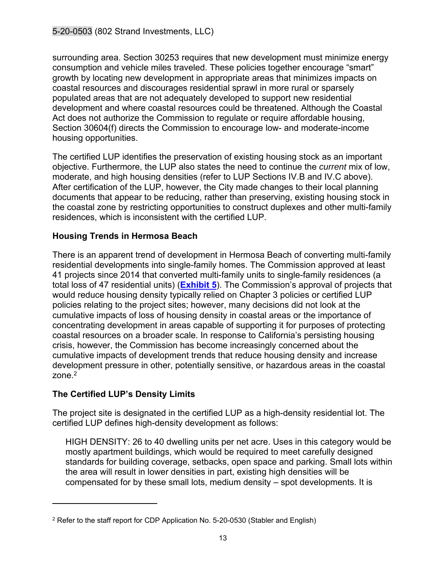surrounding area. Section 30253 requires that new development must minimize energy consumption and vehicle miles traveled. These policies together encourage "smart" growth by locating new development in appropriate areas that minimizes impacts on coastal resources and discourages residential sprawl in more rural or sparsely populated areas that are not adequately developed to support new residential development and where coastal resources could be threatened. Although the Coastal Act does not authorize the Commission to regulate or require affordable housing, Section 30604(f) directs the Commission to encourage low- and moderate-income housing opportunities.

The certified LUP identifies the preservation of existing housing stock as an important objective. Furthermore, the LUP also states the need to continue the *current* mix of low, moderate, and high housing densities (refer to LUP Sections IV.B and IV.C above). After certification of the LUP, however, the City made changes to their local planning documents that appear to be reducing, rather than preserving, existing housing stock in the coastal zone by restricting opportunities to construct duplexes and other multi-family residences, which is inconsistent with the certified LUP.

#### **Housing Trends in Hermosa Beach**

There is an apparent trend of development in Hermosa Beach of converting multi-family residential developments into single-family homes. The Commission approved at least 41 projects since 2014 that converted multi-family units to single-family residences (a total loss of 47 residential units) (**[Exhibit 5](https://documents.coastal.ca.gov/reports/2021/3/Th13c/Th13c-3-2021-exhibits.pdf)**). The Commission's approval of projects that would reduce housing density typically relied on Chapter 3 policies or certified LUP policies relating to the project sites; however, many decisions did not look at the cumulative impacts of loss of housing density in coastal areas or the importance of concentrating development in areas capable of supporting it for purposes of protecting coastal resources on a broader scale. In response to California's persisting housing crisis, however, the Commission has become increasingly concerned about the cumulative impacts of development trends that reduce housing density and increase development pressure in other, potentially sensitive, or hazardous areas in the coastal zone.<sup>2</sup>

#### **The Certified LUP's Density Limits**

The project site is designated in the certified LUP as a high-density residential lot. The certified LUP defines high-density development as follows:

HIGH DENSITY: 26 to 40 dwelling units per net acre. Uses in this category would be mostly apartment buildings, which would be required to meet carefully designed standards for building coverage, setbacks, open space and parking. Small lots within the area will result in lower densities in part, existing high densities will be compensated for by these small lots, medium density – spot developments. It is

<sup>&</sup>lt;sup>2</sup> Refer to the staff report for CDP Application No. 5-20-0530 (Stabler and English)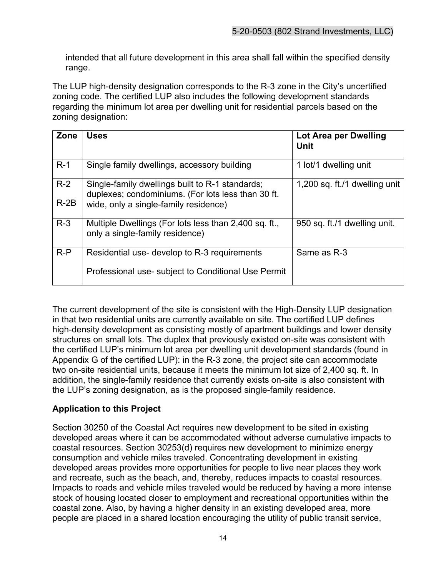intended that all future development in this area shall fall within the specified density range.

The LUP high-density designation corresponds to the R-3 zone in the City's uncertified zoning code. The certified LUP also includes the following development standards regarding the minimum lot area per dwelling unit for residential parcels based on the zoning designation:

| Zone   | <b>Uses</b>                                                                                           | Lot Area per Dwelling<br><b>Unit</b> |
|--------|-------------------------------------------------------------------------------------------------------|--------------------------------------|
| $R-1$  | Single family dwellings, accessory building                                                           | 1 lot/1 dwelling unit                |
| $R-2$  | Single-family dwellings built to R-1 standards;<br>duplexes; condominiums. (For lots less than 30 ft. | 1,200 sq. ft./1 dwelling unit        |
| $R-2B$ | wide, only a single-family residence)                                                                 |                                      |
| $R-3$  | Multiple Dwellings (For lots less than 2,400 sq. ft.,<br>only a single-family residence)              | 950 sq. ft./1 dwelling unit.         |
| $R-P$  | Residential use- develop to R-3 requirements                                                          | Same as R-3                          |
|        | Professional use- subject to Conditional Use Permit                                                   |                                      |

The current development of the site is consistent with the High-Density LUP designation in that two residential units are currently available on site. The certified LUP defines high-density development as consisting mostly of apartment buildings and lower density structures on small lots. The duplex that previously existed on-site was consistent with the certified LUP's minimum lot area per dwelling unit development standards (found in Appendix G of the certified LUP): in the R-3 zone, the project site can accommodate two on-site residential units, because it meets the minimum lot size of 2,400 sq. ft. In addition, the single-family residence that currently exists on-site is also consistent with the LUP's zoning designation, as is the proposed single-family residence.

#### **Application to this Project**

Section 30250 of the Coastal Act requires new development to be sited in existing developed areas where it can be accommodated without adverse cumulative impacts to coastal resources. Section 30253(d) requires new development to minimize energy consumption and vehicle miles traveled. Concentrating development in existing developed areas provides more opportunities for people to live near places they work and recreate, such as the beach, and, thereby, reduces impacts to coastal resources. Impacts to roads and vehicle miles traveled would be reduced by having a more intense stock of housing located closer to employment and recreational opportunities within the coastal zone. Also, by having a higher density in an existing developed area, more people are placed in a shared location encouraging the utility of public transit service,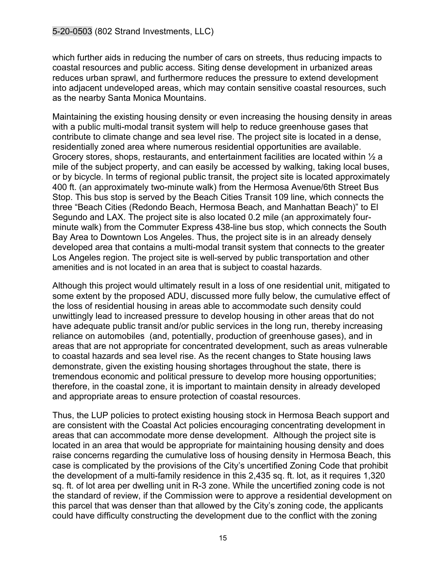which further aids in reducing the number of cars on streets, thus reducing impacts to coastal resources and public access. Siting dense development in urbanized areas reduces urban sprawl, and furthermore reduces the pressure to extend development into adjacent undeveloped areas, which may contain sensitive coastal resources, such as the nearby Santa Monica Mountains.

Maintaining the existing housing density or even increasing the housing density in areas with a public multi-modal transit system will help to reduce greenhouse gases that contribute to climate change and sea level rise. The project site is located in a dense, residentially zoned area where numerous residential opportunities are available. Grocery stores, shops, restaurants, and entertainment facilities are located within  $\frac{1}{2}$  a mile of the subject property, and can easily be accessed by walking, taking local buses, or by bicycle. In terms of regional public transit, the project site is located approximately 400 ft. (an approximately two-minute walk) from the Hermosa Avenue/6th Street Bus Stop. This bus stop is served by the Beach Cities Transit 109 line, which connects the three "Beach Cities (Redondo Beach, Hermosa Beach, and Manhattan Beach)" to El Segundo and LAX. The project site is also located 0.2 mile (an approximately fourminute walk) from the Commuter Express 438-line bus stop, which connects the South Bay Area to Downtown Los Angeles. Thus, the project site is in an already densely developed area that contains a multi-modal transit system that connects to the greater Los Angeles region. The project site is well-served by public transportation and other amenities and is not located in an area that is subject to coastal hazards.

Although this project would ultimately result in a loss of one residential unit, mitigated to some extent by the proposed ADU, discussed more fully below, the cumulative effect of the loss of residential housing in areas able to accommodate such density could unwittingly lead to increased pressure to develop housing in other areas that do not have adequate public transit and/or public services in the long run, thereby increasing reliance on automobiles (and, potentially, production of greenhouse gases), and in areas that are not appropriate for concentrated development, such as areas vulnerable to coastal hazards and sea level rise. As the recent changes to State housing laws demonstrate, given the existing housing shortages throughout the state, there is tremendous economic and political pressure to develop more housing opportunities; therefore, in the coastal zone, it is important to maintain density in already developed and appropriate areas to ensure protection of coastal resources.

Thus, the LUP policies to protect existing housing stock in Hermosa Beach support and are consistent with the Coastal Act policies encouraging concentrating development in areas that can accommodate more dense development. Although the project site is located in an area that would be appropriate for maintaining housing density and does raise concerns regarding the cumulative loss of housing density in Hermosa Beach, this case is complicated by the provisions of the City's uncertified Zoning Code that prohibit the development of a multi-family residence in this 2,435 sq. ft. lot, as it requires 1,320 sq. ft. of lot area per dwelling unit in R-3 zone. While the uncertified zoning code is not the standard of review, if the Commission were to approve a residential development on this parcel that was denser than that allowed by the City's zoning code, the applicants could have difficulty constructing the development due to the conflict with the zoning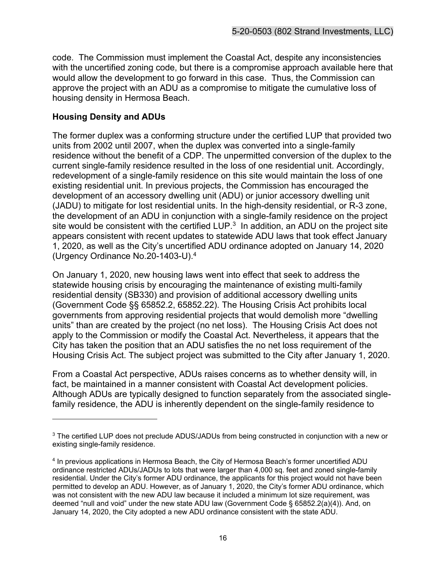code. The Commission must implement the Coastal Act, despite any inconsistencies with the uncertified zoning code, but there is a compromise approach available here that would allow the development to go forward in this case. Thus, the Commission can approve the project with an ADU as a compromise to mitigate the cumulative loss of housing density in Hermosa Beach.

#### **Housing Density and ADUs**

The former duplex was a conforming structure under the certified LUP that provided two units from 2002 until 2007, when the duplex was converted into a single-family residence without the benefit of a CDP. The unpermitted conversion of the duplex to the current single-family residence resulted in the loss of one residential unit. Accordingly, redevelopment of a single-family residence on this site would maintain the loss of one existing residential unit. In previous projects, the Commission has encouraged the development of an accessory dwelling unit (ADU) or junior accessory dwelling unit (JADU) to mitigate for lost residential units. In the high-density residential, or R-3 zone, the development of an ADU in conjunction with a single-family residence on the project site would be consistent with the certified LUP. $^3\,$  In addition, an ADU on the project site  $\,$ appears consistent with recent updates to statewide ADU laws that took effect January 1, 2020, as well as the City's uncertified ADU ordinance adopted on January 14, 2020 (Urgency Ordinance No.20-1403-U).<sup>4</sup>

On January 1, 2020, new housing laws went into effect that seek to address the statewide housing crisis by encouraging the maintenance of existing multi-family residential density (SB330) and provision of additional accessory dwelling units (Government Code §§ 65852.2, 65852.22). The Housing Crisis Act prohibits local governments from approving residential projects that would demolish more "dwelling units" than are created by the project (no net loss). The Housing Crisis Act does not apply to the Commission or modify the Coastal Act. Nevertheless, it appears that the City has taken the position that an ADU satisfies the no net loss requirement of the Housing Crisis Act. The subject project was submitted to the City after January 1, 2020.

From a Coastal Act perspective, ADUs raises concerns as to whether density will, in fact, be maintained in a manner consistent with Coastal Act development policies. Although ADUs are typically designed to function separately from the associated singlefamily residence, the ADU is inherently dependent on the single-family residence to

<sup>&</sup>lt;sup>3</sup> The certified LUP does not preclude ADUS/JADUs from being constructed in conjunction with a new or existing single-family residence.

<sup>4</sup> In previous applications in Hermosa Beach, the City of Hermosa Beach's former uncertified ADU ordinance restricted ADUs/JADUs to lots that were larger than 4,000 sq. feet and zoned single-family residential. Under the City's former ADU ordinance, the applicants for this project would not have been permitted to develop an ADU. However, as of January 1, 2020, the City's former ADU ordinance, which was not consistent with the new ADU law because it included a minimum lot size requirement, was deemed "null and void" under the new state ADU law (Government Code § 65852.2(a)(4)). And, on January 14, 2020, the City adopted a new ADU ordinance consistent with the state ADU.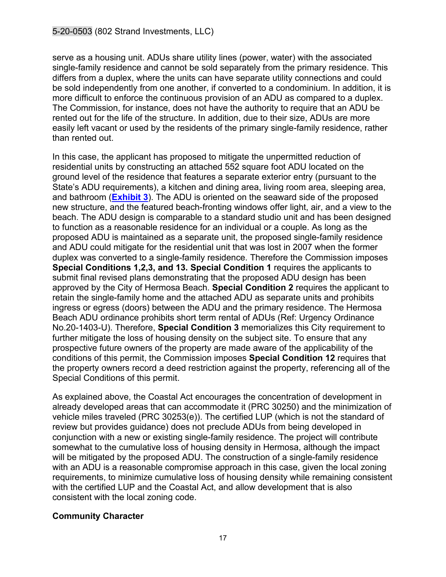serve as a housing unit. ADUs share utility lines (power, water) with the associated single-family residence and cannot be sold separately from the primary residence. This differs from a duplex, where the units can have separate utility connections and could be sold independently from one another, if converted to a condominium. In addition, it is more difficult to enforce the continuous provision of an ADU as compared to a duplex. The Commission, for instance, does not have the authority to require that an ADU be rented out for the life of the structure. In addition, due to their size, ADUs are more easily left vacant or used by the residents of the primary single-family residence, rather than rented out.

In this case, the applicant has proposed to mitigate the unpermitted reduction of residential units by constructing an attached 552 square foot ADU located on the ground level of the residence that features a separate exterior entry (pursuant to the State's ADU requirements), a kitchen and dining area, living room area, sleeping area, and bathroom (**[Exhibit 3](https://documents.coastal.ca.gov/reports/2021/3/Th13c/Th13c-3-2021-exhibits.pdf)**). The ADU is oriented on the seaward side of the proposed new structure, and the featured beach-fronting windows offer light, air, and a view to the beach. The ADU design is comparable to a standard studio unit and has been designed to function as a reasonable residence for an individual or a couple. As long as the proposed ADU is maintained as a separate unit, the proposed single-family residence and ADU could mitigate for the residential unit that was lost in 2007 when the former duplex was converted to a single-family residence. Therefore the Commission imposes **Special Conditions 1,2,3, and 13. Special Condition 1** requires the applicants to submit final revised plans demonstrating that the proposed ADU design has been approved by the City of Hermosa Beach. **Special Condition 2** requires the applicant to retain the single-family home and the attached ADU as separate units and prohibits ingress or egress (doors) between the ADU and the primary residence. The Hermosa Beach ADU ordinance prohibits short term rental of ADUs (Ref: Urgency Ordinance No.20-1403-U). Therefore, **Special Condition 3** memorializes this City requirement to further mitigate the loss of housing density on the subject site. To ensure that any prospective future owners of the property are made aware of the applicability of the conditions of this permit, the Commission imposes **Special Condition 12** requires that the property owners record a deed restriction against the property, referencing all of the Special Conditions of this permit.

As explained above, the Coastal Act encourages the concentration of development in already developed areas that can accommodate it (PRC 30250) and the minimization of vehicle miles traveled (PRC 30253(e)). The certified LUP (which is not the standard of review but provides guidance) does not preclude ADUs from being developed in conjunction with a new or existing single-family residence. The project will contribute somewhat to the cumulative loss of housing density in Hermosa, although the impact will be mitigated by the proposed ADU. The construction of a single-family residence with an ADU is a reasonable compromise approach in this case, given the local zoning requirements, to minimize cumulative loss of housing density while remaining consistent with the certified LUP and the Coastal Act, and allow development that is also consistent with the local zoning code.

#### **Community Character**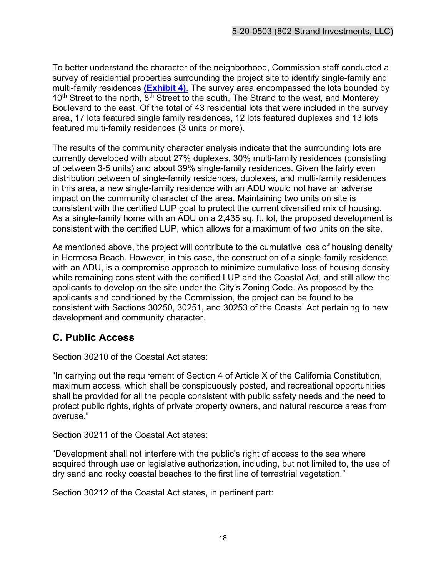To better understand the character of the neighborhood, Commission staff conducted a survey of residential properties surrounding the project site to identify single-family and multi-family residences **[\(Exhibit 4\)](https://documents.coastal.ca.gov/reports/2021/3/Th13c/Th13c-3-2021-exhibits.pdf)**. The survey area encompassed the lots bounded by  $10<sup>th</sup>$  Street to the north,  $8<sup>th</sup>$  Street to the south, The Strand to the west, and Monterey Boulevard to the east. Of the total of 43 residential lots that were included in the survey area, 17 lots featured single family residences, 12 lots featured duplexes and 13 lots featured multi-family residences (3 units or more).

The results of the community character analysis indicate that the surrounding lots are currently developed with about 27% duplexes, 30% multi-family residences (consisting of between 3-5 units) and about 39% single-family residences. Given the fairly even distribution between of single-family residences, duplexes, and multi-family residences in this area, a new single-family residence with an ADU would not have an adverse impact on the community character of the area. Maintaining two units on site is consistent with the certified LUP goal to protect the current diversified mix of housing. As a single-family home with an ADU on a 2,435 sq. ft. lot, the proposed development is consistent with the certified LUP, which allows for a maximum of two units on the site.

As mentioned above, the project will contribute to the cumulative loss of housing density in Hermosa Beach. However, in this case, the construction of a single-family residence with an ADU, is a compromise approach to minimize cumulative loss of housing density while remaining consistent with the certified LUP and the Coastal Act, and still allow the applicants to develop on the site under the City's Zoning Code. As proposed by the applicants and conditioned by the Commission, the project can be found to be consistent with Sections 30250, 30251, and 30253 of the Coastal Act pertaining to new development and community character.

# <span id="page-17-0"></span>**C. Public Access**

Section 30210 of the Coastal Act states:

"In carrying out the requirement of Section 4 of Article X of the California Constitution, maximum access, which shall be conspicuously posted, and recreational opportunities shall be provided for all the people consistent with public safety needs and the need to protect public rights, rights of private property owners, and natural resource areas from overuse."

Section 30211 of the Coastal Act states:

"Development shall not interfere with the public's right of access to the sea where acquired through use or legislative authorization, including, but not limited to, the use of dry sand and rocky coastal beaches to the first line of terrestrial vegetation."

Section 30212 of the Coastal Act states, in pertinent part: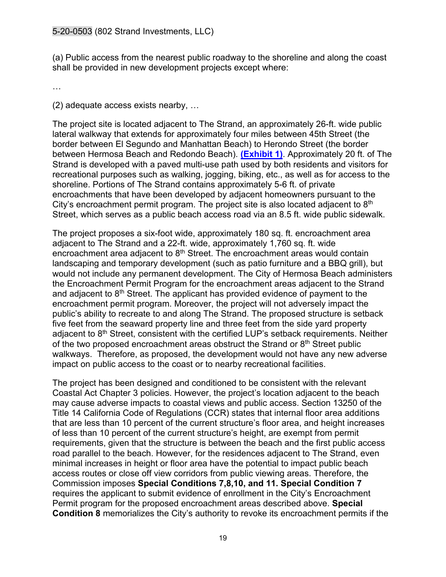(a) Public access from the nearest public roadway to the shoreline and along the coast shall be provided in new development projects except where:

…

(2) adequate access exists nearby, …

The project site is located adjacent to The Strand, an approximately 26-ft. wide public lateral walkway that extends for approximately four miles between 45th Street (the border between El Segundo and Manhattan Beach) to Herondo Street (the border between Hermosa Beach and Redondo Beach). **[\(Exhibit 1\)](https://documents.coastal.ca.gov/reports/2021/3/Th13c/Th13c-3-2021-exhibits.pdf)**. Approximately 20 ft. of The Strand is developed with a paved multi-use path used by both residents and visitors for recreational purposes such as walking, jogging, biking, etc., as well as for access to the shoreline. Portions of The Strand contains approximately 5-6 ft. of private encroachments that have been developed by adjacent homeowners pursuant to the City's encroachment permit program. The project site is also located adjacent to  $8<sup>th</sup>$ Street, which serves as a public beach access road via an 8.5 ft. wide public sidewalk.

The project proposes a six-foot wide, approximately 180 sq. ft. encroachment area adjacent to The Strand and a 22-ft. wide, approximately 1,760 sq. ft. wide encroachment area adjacent to  $8<sup>th</sup>$  Street. The encroachment areas would contain landscaping and temporary development (such as patio furniture and a BBQ grill), but would not include any permanent development. The City of Hermosa Beach administers the Encroachment Permit Program for the encroachment areas adjacent to the Strand and adjacent to 8<sup>th</sup> Street. The applicant has provided evidence of payment to the encroachment permit program. Moreover, the project will not adversely impact the public's ability to recreate to and along The Strand. The proposed structure is setback five feet from the seaward property line and three feet from the side yard property adjacent to 8<sup>th</sup> Street, consistent with the certified LUP's setback requirements. Neither of the two proposed encroachment areas obstruct the Strand or  $8<sup>th</sup>$  Street public walkways. Therefore, as proposed, the development would not have any new adverse impact on public access to the coast or to nearby recreational facilities.

The project has been designed and conditioned to be consistent with the relevant Coastal Act Chapter 3 policies. However, the project's location adjacent to the beach may cause adverse impacts to coastal views and public access. Section 13250 of the Title 14 California Code of Regulations (CCR) states that internal floor area additions that are less than 10 percent of the current structure's floor area, and height increases of less than 10 percent of the current structure's height, are exempt from permit requirements, given that the structure is between the beach and the first public access road parallel to the beach. However, for the residences adjacent to The Strand, even minimal increases in height or floor area have the potential to impact public beach access routes or close off view corridors from public viewing areas. Therefore, the Commission imposes **Special Conditions 7,8,10, and 11. Special Condition 7**  requires the applicant to submit evidence of enrollment in the City's Encroachment Permit program for the proposed encroachment areas described above. **Special Condition 8** memorializes the City's authority to revoke its encroachment permits if the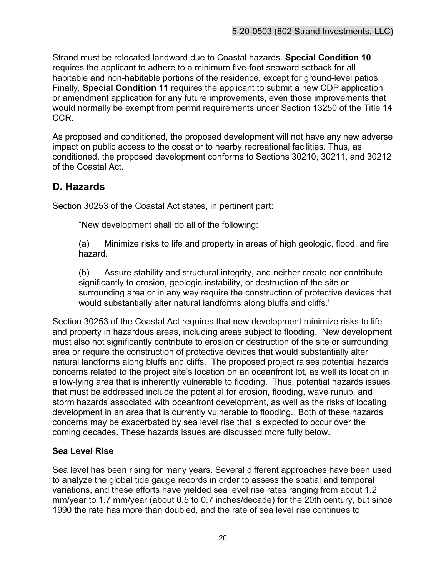Strand must be relocated landward due to Coastal hazards. **Special Condition 10**  requires the applicant to adhere to a minimum five-foot seaward setback for all habitable and non-habitable portions of the residence, except for ground-level patios. Finally, **Special Condition 11** requires the applicant to submit a new CDP application or amendment application for any future improvements, even those improvements that would normally be exempt from permit requirements under Section 13250 of the Title 14 CCR.

As proposed and conditioned, the proposed development will not have any new adverse impact on public access to the coast or to nearby recreational facilities. Thus, as conditioned, the proposed development conforms to Sections 30210, 30211, and 30212 of the Coastal Act.

## <span id="page-19-0"></span>**D. Hazards**

Section 30253 of the Coastal Act states, in pertinent part:

"New development shall do all of the following:

(a) Minimize risks to life and property in areas of high geologic, flood, and fire hazard.

(b) Assure stability and structural integrity, and neither create nor contribute significantly to erosion, geologic instability, or destruction of the site or surrounding area or in any way require the construction of protective devices that would substantially alter natural landforms along bluffs and cliffs."

Section 30253 of the Coastal Act requires that new development minimize risks to life and property in hazardous areas, including areas subject to flooding. New development must also not significantly contribute to erosion or destruction of the site or surrounding area or require the construction of protective devices that would substantially alter natural landforms along bluffs and cliffs. The proposed project raises potential hazards concerns related to the project site's location on an oceanfront lot, as well its location in a low-lying area that is inherently vulnerable to flooding. Thus, potential hazards issues that must be addressed include the potential for erosion, flooding, wave runup, and storm hazards associated with oceanfront development, as well as the risks of locating development in an area that is currently vulnerable to flooding. Both of these hazards concerns may be exacerbated by sea level rise that is expected to occur over the coming decades. These hazards issues are discussed more fully below.

#### **Sea Level Rise**

Sea level has been rising for many years. Several different approaches have been used to analyze the global tide gauge records in order to assess the spatial and temporal variations, and these efforts have yielded sea level rise rates ranging from about 1.2 mm/year to 1.7 mm/year (about 0.5 to 0.7 inches/decade) for the 20th century, but since 1990 the rate has more than doubled, and the rate of sea level rise continues to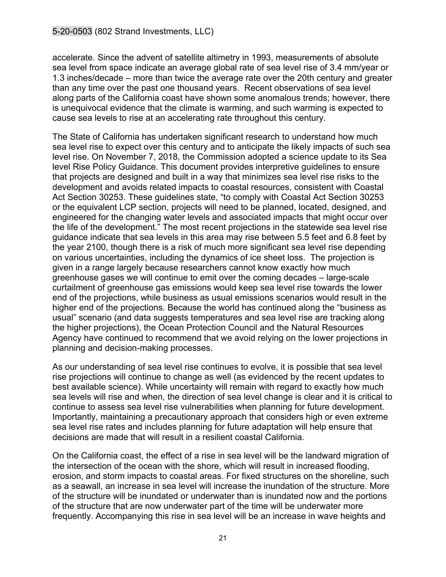accelerate. Since the advent of satellite altimetry in 1993, measurements of absolute sea level from space indicate an average global rate of sea level rise of 3.4 mm/year or 1.3 inches/decade – more than twice the average rate over the 20th century and greater than any time over the past one thousand years. Recent observations of sea level along parts of the California coast have shown some anomalous trends; however, there is unequivocal evidence that the climate is warming, and such warming is expected to cause sea levels to rise at an accelerating rate throughout this century.

The State of California has undertaken significant research to understand how much sea level rise to expect over this century and to anticipate the likely impacts of such sea level rise. On November 7, 2018, the Commission adopted a science update to its Sea level Rise Policy Guidance. This document provides interpretive guidelines to ensure that projects are designed and built in a way that minimizes sea level rise risks to the development and avoids related impacts to coastal resources, consistent with Coastal Act Section 30253. These guidelines state, "to comply with Coastal Act Section 30253 or the equivalent LCP section, projects will need to be planned, located, designed, and engineered for the changing water levels and associated impacts that might occur over the life of the development." The most recent projections in the statewide sea level rise guidance indicate that sea levels in this area may rise between 5.5 feet and 6.8 feet by the year 2100, though there is a risk of much more significant sea level rise depending on various uncertainties, including the dynamics of ice sheet loss. The projection is given in a range largely because researchers cannot know exactly how much greenhouse gases we will continue to emit over the coming decades – large-scale curtailment of greenhouse gas emissions would keep sea level rise towards the lower end of the projections, while business as usual emissions scenarios would result in the higher end of the projections. Because the world has continued along the "business as usual" scenario (and data suggests temperatures and sea level rise are tracking along the higher projections), the Ocean Protection Council and the Natural Resources Agency have continued to recommend that we avoid relying on the lower projections in planning and decision-making processes.

As our understanding of sea level rise continues to evolve, it is possible that sea level rise projections will continue to change as well (as evidenced by the recent updates to best available science). While uncertainty will remain with regard to exactly how much sea levels will rise and when, the direction of sea level change is clear and it is critical to continue to assess sea level rise vulnerabilities when planning for future development. Importantly, maintaining a precautionary approach that considers high or even extreme sea level rise rates and includes planning for future adaptation will help ensure that decisions are made that will result in a resilient coastal California.

On the California coast, the effect of a rise in sea level will be the landward migration of the intersection of the ocean with the shore, which will result in increased flooding, erosion, and storm impacts to coastal areas. For fixed structures on the shoreline, such as a seawall, an increase in sea level will increase the inundation of the structure. More of the structure will be inundated or underwater than is inundated now and the portions of the structure that are now underwater part of the time will be underwater more frequently. Accompanying this rise in sea level will be an increase in wave heights and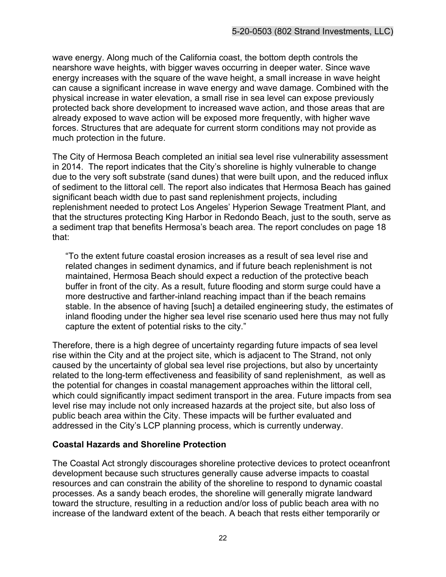wave energy. Along much of the California coast, the bottom depth controls the nearshore wave heights, with bigger waves occurring in deeper water. Since wave energy increases with the square of the wave height, a small increase in wave height can cause a significant increase in wave energy and wave damage. Combined with the physical increase in water elevation, a small rise in sea level can expose previously protected back shore development to increased wave action, and those areas that are already exposed to wave action will be exposed more frequently, with higher wave forces. Structures that are adequate for current storm conditions may not provide as much protection in the future.

The City of Hermosa Beach completed an initial sea level rise vulnerability assessment in 2014. The report indicates that the City's shoreline is highly vulnerable to change due to the very soft substrate (sand dunes) that were built upon, and the reduced influx of sediment to the littoral cell. The report also indicates that Hermosa Beach has gained significant beach width due to past sand replenishment projects, including replenishment needed to protect Los Angeles' Hyperion Sewage Treatment Plant, and that the structures protecting King Harbor in Redondo Beach, just to the south, serve as a sediment trap that benefits Hermosa's beach area. The report concludes on page 18 that:

"To the extent future coastal erosion increases as a result of sea level rise and related changes in sediment dynamics, and if future beach replenishment is not maintained, Hermosa Beach should expect a reduction of the protective beach buffer in front of the city. As a result, future flooding and storm surge could have a more destructive and farther-inland reaching impact than if the beach remains stable. In the absence of having [such] a detailed engineering study, the estimates of inland flooding under the higher sea level rise scenario used here thus may not fully capture the extent of potential risks to the city."

Therefore, there is a high degree of uncertainty regarding future impacts of sea level rise within the City and at the project site, which is adjacent to The Strand, not only caused by the uncertainty of global sea level rise projections, but also by uncertainty related to the long-term effectiveness and feasibility of sand replenishment, as well as the potential for changes in coastal management approaches within the littoral cell, which could significantly impact sediment transport in the area. Future impacts from sea level rise may include not only increased hazards at the project site, but also loss of public beach area within the City. These impacts will be further evaluated and addressed in the City's LCP planning process, which is currently underway.

#### **Coastal Hazards and Shoreline Protection**

The Coastal Act strongly discourages shoreline protective devices to protect oceanfront development because such structures generally cause adverse impacts to coastal resources and can constrain the ability of the shoreline to respond to dynamic coastal processes. As a sandy beach erodes, the shoreline will generally migrate landward toward the structure, resulting in a reduction and/or loss of public beach area with no increase of the landward extent of the beach. A beach that rests either temporarily or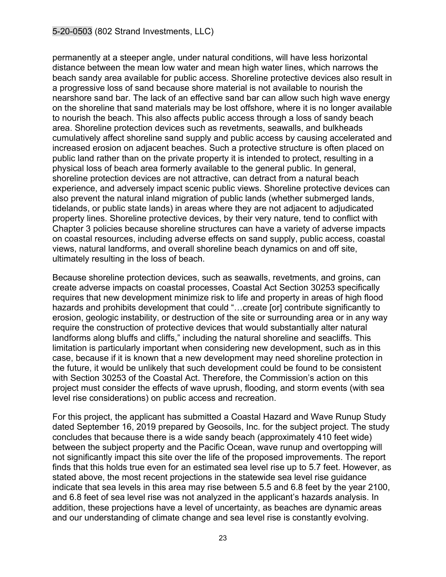permanently at a steeper angle, under natural conditions, will have less horizontal distance between the mean low water and mean high water lines, which narrows the beach sandy area available for public access. Shoreline protective devices also result in a progressive loss of sand because shore material is not available to nourish the nearshore sand bar. The lack of an effective sand bar can allow such high wave energy on the shoreline that sand materials may be lost offshore, where it is no longer available to nourish the beach. This also affects public access through a loss of sandy beach area. Shoreline protection devices such as revetments, seawalls, and bulkheads cumulatively affect shoreline sand supply and public access by causing accelerated and increased erosion on adjacent beaches. Such a protective structure is often placed on public land rather than on the private property it is intended to protect, resulting in a physical loss of beach area formerly available to the general public. In general, shoreline protection devices are not attractive, can detract from a natural beach experience, and adversely impact scenic public views. Shoreline protective devices can also prevent the natural inland migration of public lands (whether submerged lands, tidelands, or public state lands) in areas where they are not adjacent to adjudicated property lines. Shoreline protective devices, by their very nature, tend to conflict with Chapter 3 policies because shoreline structures can have a variety of adverse impacts on coastal resources, including adverse effects on sand supply, public access, coastal views, natural landforms, and overall shoreline beach dynamics on and off site, ultimately resulting in the loss of beach.

Because shoreline protection devices, such as seawalls, revetments, and groins, can create adverse impacts on coastal processes, Coastal Act Section 30253 specifically requires that new development minimize risk to life and property in areas of high flood hazards and prohibits development that could "…create [or] contribute significantly to erosion, geologic instability, or destruction of the site or surrounding area or in any way require the construction of protective devices that would substantially alter natural landforms along bluffs and cliffs," including the natural shoreline and seacliffs. This limitation is particularly important when considering new development, such as in this case, because if it is known that a new development may need shoreline protection in the future, it would be unlikely that such development could be found to be consistent with Section 30253 of the Coastal Act. Therefore, the Commission's action on this project must consider the effects of wave uprush, flooding, and storm events (with sea level rise considerations) on public access and recreation.

For this project, the applicant has submitted a Coastal Hazard and Wave Runup Study dated September 16, 2019 prepared by Geosoils, Inc. for the subject project. The study concludes that because there is a wide sandy beach (approximately 410 feet wide) between the subject property and the Pacific Ocean, wave runup and overtopping will not significantly impact this site over the life of the proposed improvements. The report finds that this holds true even for an estimated sea level rise up to 5.7 feet. However, as stated above, the most recent projections in the statewide sea level rise guidance indicate that sea levels in this area may rise between 5.5 and 6.8 feet by the year 2100, and 6.8 feet of sea level rise was not analyzed in the applicant's hazards analysis. In addition, these projections have a level of uncertainty, as beaches are dynamic areas and our understanding of climate change and sea level rise is constantly evolving.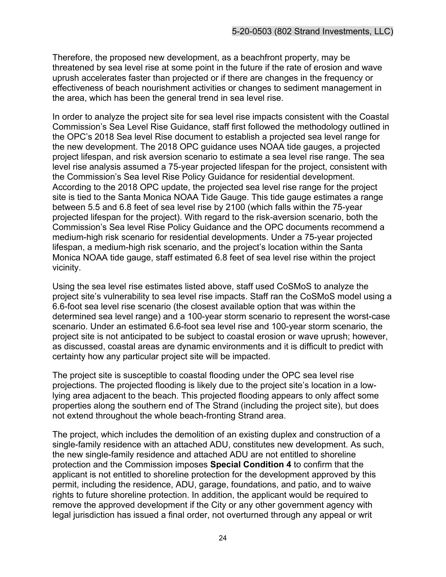Therefore, the proposed new development, as a beachfront property, may be threatened by sea level rise at some point in the future if the rate of erosion and wave uprush accelerates faster than projected or if there are changes in the frequency or effectiveness of beach nourishment activities or changes to sediment management in the area, which has been the general trend in sea level rise.

In order to analyze the project site for sea level rise impacts consistent with the Coastal Commission's Sea Level Rise Guidance, staff first followed the methodology outlined in the OPC's 2018 Sea level Rise document to establish a projected sea level range for the new development. The 2018 OPC guidance uses NOAA tide gauges, a projected project lifespan, and risk aversion scenario to estimate a sea level rise range. The sea level rise analysis assumed a 75-year projected lifespan for the project, consistent with the Commission's Sea level Rise Policy Guidance for residential development. According to the 2018 OPC update, the projected sea level rise range for the project site is tied to the Santa Monica NOAA Tide Gauge. This tide gauge estimates a range between 5.5 and 6.8 feet of sea level rise by 2100 (which falls within the 75-year projected lifespan for the project). With regard to the risk-aversion scenario, both the Commission's Sea level Rise Policy Guidance and the OPC documents recommend a medium-high risk scenario for residential developments. Under a 75-year projected lifespan, a medium-high risk scenario, and the project's location within the Santa Monica NOAA tide gauge, staff estimated 6.8 feet of sea level rise within the project vicinity.

Using the sea level rise estimates listed above, staff used CoSMoS to analyze the project site's vulnerability to sea level rise impacts. Staff ran the CoSMoS model using a 6.6-foot sea level rise scenario (the closest available option that was within the determined sea level range) and a 100-year storm scenario to represent the worst-case scenario. Under an estimated 6.6-foot sea level rise and 100-year storm scenario, the project site is not anticipated to be subject to coastal erosion or wave uprush; however, as discussed, coastal areas are dynamic environments and it is difficult to predict with certainty how any particular project site will be impacted.

The project site is susceptible to coastal flooding under the OPC sea level rise projections. The projected flooding is likely due to the project site's location in a lowlying area adjacent to the beach. This projected flooding appears to only affect some properties along the southern end of The Strand (including the project site), but does not extend throughout the whole beach-fronting Strand area.

The project, which includes the demolition of an existing duplex and construction of a single-family residence with an attached ADU, constitutes new development. As such, the new single-family residence and attached ADU are not entitled to shoreline protection and the Commission imposes **Special Condition 4** to confirm that the applicant is not entitled to shoreline protection for the development approved by this permit, including the residence, ADU, garage, foundations, and patio, and to waive rights to future shoreline protection. In addition, the applicant would be required to remove the approved development if the City or any other government agency with legal jurisdiction has issued a final order, not overturned through any appeal or writ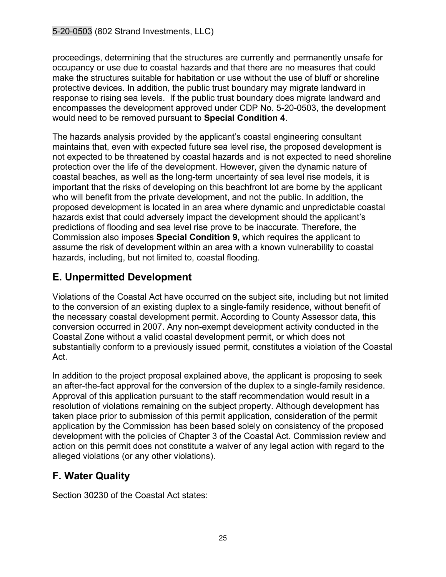proceedings, determining that the structures are currently and permanently unsafe for occupancy or use due to coastal hazards and that there are no measures that could make the structures suitable for habitation or use without the use of bluff or shoreline protective devices. In addition, the public trust boundary may migrate landward in response to rising sea levels. If the public trust boundary does migrate landward and encompasses the development approved under CDP No. 5-20-0503, the development would need to be removed pursuant to **Special Condition 4**.

The hazards analysis provided by the applicant's coastal engineering consultant maintains that, even with expected future sea level rise, the proposed development is not expected to be threatened by coastal hazards and is not expected to need shoreline protection over the life of the development. However, given the dynamic nature of coastal beaches, as well as the long-term uncertainty of sea level rise models, it is important that the risks of developing on this beachfront lot are borne by the applicant who will benefit from the private development, and not the public. In addition, the proposed development is located in an area where dynamic and unpredictable coastal hazards exist that could adversely impact the development should the applicant's predictions of flooding and sea level rise prove to be inaccurate. Therefore, the Commission also imposes **Special Condition 9,** which requires the applicant to assume the risk of development within an area with a known vulnerability to coastal hazards, including, but not limited to, coastal flooding.

# <span id="page-24-0"></span>**E. Unpermitted Development**

Violations of the Coastal Act have occurred on the subject site, including but not limited to the conversion of an existing duplex to a single-family residence, without benefit of the necessary coastal development permit. According to County Assessor data, this conversion occurred in 2007. Any non-exempt development activity conducted in the Coastal Zone without a valid coastal development permit, or which does not substantially conform to a previously issued permit, constitutes a violation of the Coastal Act.

In addition to the project proposal explained above, the applicant is proposing to seek an after-the-fact approval for the conversion of the duplex to a single-family residence. Approval of this application pursuant to the staff recommendation would result in a resolution of violations remaining on the subject property. Although development has taken place prior to submission of this permit application, consideration of the permit application by the Commission has been based solely on consistency of the proposed development with the policies of Chapter 3 of the Coastal Act. Commission review and action on this permit does not constitute a waiver of any legal action with regard to the alleged violations (or any other violations).

# <span id="page-24-1"></span>**F. Water Quality**

Section 30230 of the Coastal Act states: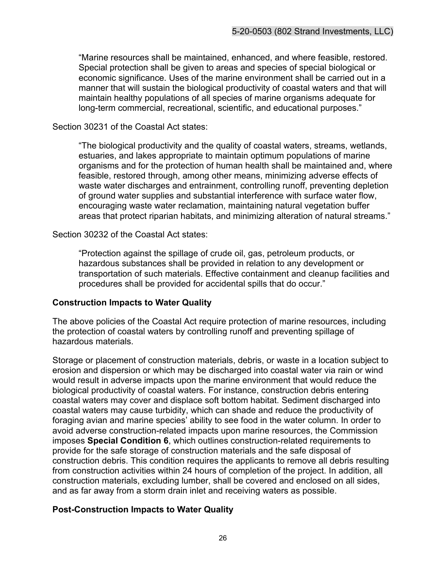"Marine resources shall be maintained, enhanced, and where feasible, restored. Special protection shall be given to areas and species of special biological or economic significance. Uses of the marine environment shall be carried out in a manner that will sustain the biological productivity of coastal waters and that will maintain healthy populations of all species of marine organisms adequate for long-term commercial, recreational, scientific, and educational purposes."

#### Section 30231 of the Coastal Act states:

"The biological productivity and the quality of coastal waters, streams, wetlands, estuaries, and lakes appropriate to maintain optimum populations of marine organisms and for the protection of human health shall be maintained and, where feasible, restored through, among other means, minimizing adverse effects of waste water discharges and entrainment, controlling runoff, preventing depletion of ground water supplies and substantial interference with surface water flow, encouraging waste water reclamation, maintaining natural vegetation buffer areas that protect riparian habitats, and minimizing alteration of natural streams."

#### Section 30232 of the Coastal Act states:

"Protection against the spillage of crude oil, gas, petroleum products, or hazardous substances shall be provided in relation to any development or transportation of such materials. Effective containment and cleanup facilities and procedures shall be provided for accidental spills that do occur."

#### **Construction Impacts to Water Quality**

The above policies of the Coastal Act require protection of marine resources, including the protection of coastal waters by controlling runoff and preventing spillage of hazardous materials.

Storage or placement of construction materials, debris, or waste in a location subject to erosion and dispersion or which may be discharged into coastal water via rain or wind would result in adverse impacts upon the marine environment that would reduce the biological productivity of coastal waters. For instance, construction debris entering coastal waters may cover and displace soft bottom habitat. Sediment discharged into coastal waters may cause turbidity, which can shade and reduce the productivity of foraging avian and marine species' ability to see food in the water column. In order to avoid adverse construction-related impacts upon marine resources, the Commission imposes **Special Condition 6**, which outlines construction-related requirements to provide for the safe storage of construction materials and the safe disposal of construction debris. This condition requires the applicants to remove all debris resulting from construction activities within 24 hours of completion of the project. In addition, all construction materials, excluding lumber, shall be covered and enclosed on all sides, and as far away from a storm drain inlet and receiving waters as possible.

#### **Post-Construction Impacts to Water Quality**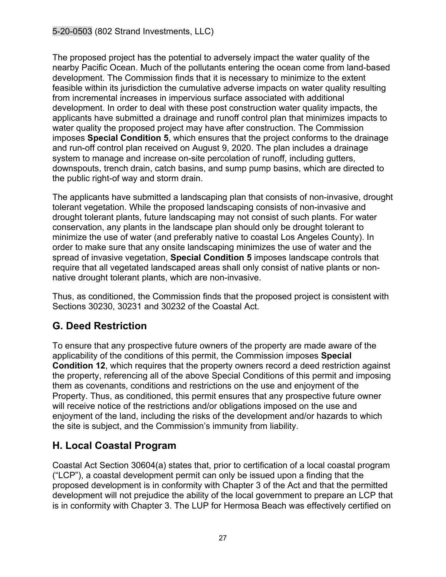The proposed project has the potential to adversely impact the water quality of the nearby Pacific Ocean. Much of the pollutants entering the ocean come from land-based development. The Commission finds that it is necessary to minimize to the extent feasible within its jurisdiction the cumulative adverse impacts on water quality resulting from incremental increases in impervious surface associated with additional development. In order to deal with these post construction water quality impacts, the applicants have submitted a drainage and runoff control plan that minimizes impacts to water quality the proposed project may have after construction. The Commission imposes **Special Condition 5**, which ensures that the project conforms to the drainage and run-off control plan received on August 9, 2020. The plan includes a drainage system to manage and increase on-site percolation of runoff, including gutters, downspouts, trench drain, catch basins, and sump pump basins, which are directed to the public right-of way and storm drain.

The applicants have submitted a landscaping plan that consists of non-invasive, drought tolerant vegetation. While the proposed landscaping consists of non-invasive and drought tolerant plants, future landscaping may not consist of such plants. For water conservation, any plants in the landscape plan should only be drought tolerant to minimize the use of water (and preferably native to coastal Los Angeles County). In order to make sure that any onsite landscaping minimizes the use of water and the spread of invasive vegetation, **Special Condition 5** imposes landscape controls that require that all vegetated landscaped areas shall only consist of native plants or nonnative drought tolerant plants, which are non-invasive.

Thus, as conditioned, the Commission finds that the proposed project is consistent with Sections 30230, 30231 and 30232 of the Coastal Act.

# <span id="page-26-0"></span>**G. Deed Restriction**

To ensure that any prospective future owners of the property are made aware of the applicability of the conditions of this permit, the Commission imposes **Special Condition 12**, which requires that the property owners record a deed restriction against the property, referencing all of the above Special Conditions of this permit and imposing them as covenants, conditions and restrictions on the use and enjoyment of the Property. Thus, as conditioned, this permit ensures that any prospective future owner will receive notice of the restrictions and/or obligations imposed on the use and enjoyment of the land, including the risks of the development and/or hazards to which the site is subject, and the Commission's immunity from liability.

# <span id="page-26-1"></span>**H. Local Coastal Program**

Coastal Act Section 30604(a) states that, prior to certification of a local coastal program ("LCP"), a coastal development permit can only be issued upon a finding that the proposed development is in conformity with Chapter 3 of the Act and that the permitted development will not prejudice the ability of the local government to prepare an LCP that is in conformity with Chapter 3. The LUP for Hermosa Beach was effectively certified on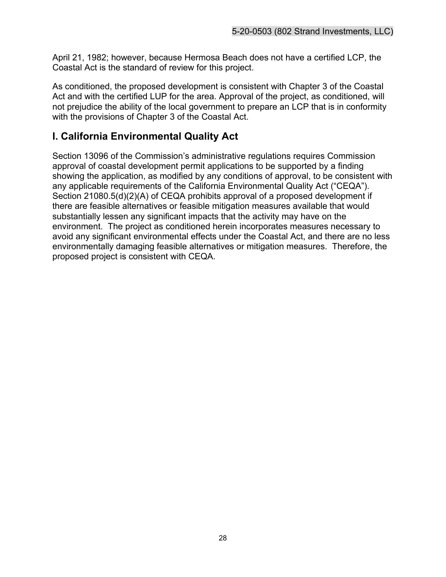April 21, 1982; however, because Hermosa Beach does not have a certified LCP, the Coastal Act is the standard of review for this project.

As conditioned, the proposed development is consistent with Chapter 3 of the Coastal Act and with the certified LUP for the area. Approval of the project, as conditioned, will not prejudice the ability of the local government to prepare an LCP that is in conformity with the provisions of Chapter 3 of the Coastal Act.

# <span id="page-27-0"></span>**I. California Environmental Quality Act**

Section 13096 of the Commission's administrative regulations requires Commission approval of coastal development permit applications to be supported by a finding showing the application, as modified by any conditions of approval, to be consistent with any applicable requirements of the California Environmental Quality Act ("CEQA"). Section 21080.5(d)(2)(A) of CEQA prohibits approval of a proposed development if there are feasible alternatives or feasible mitigation measures available that would substantially lessen any significant impacts that the activity may have on the environment. The project as conditioned herein incorporates measures necessary to avoid any significant environmental effects under the Coastal Act, and there are no less environmentally damaging feasible alternatives or mitigation measures. Therefore, the proposed project is consistent with CEQA.